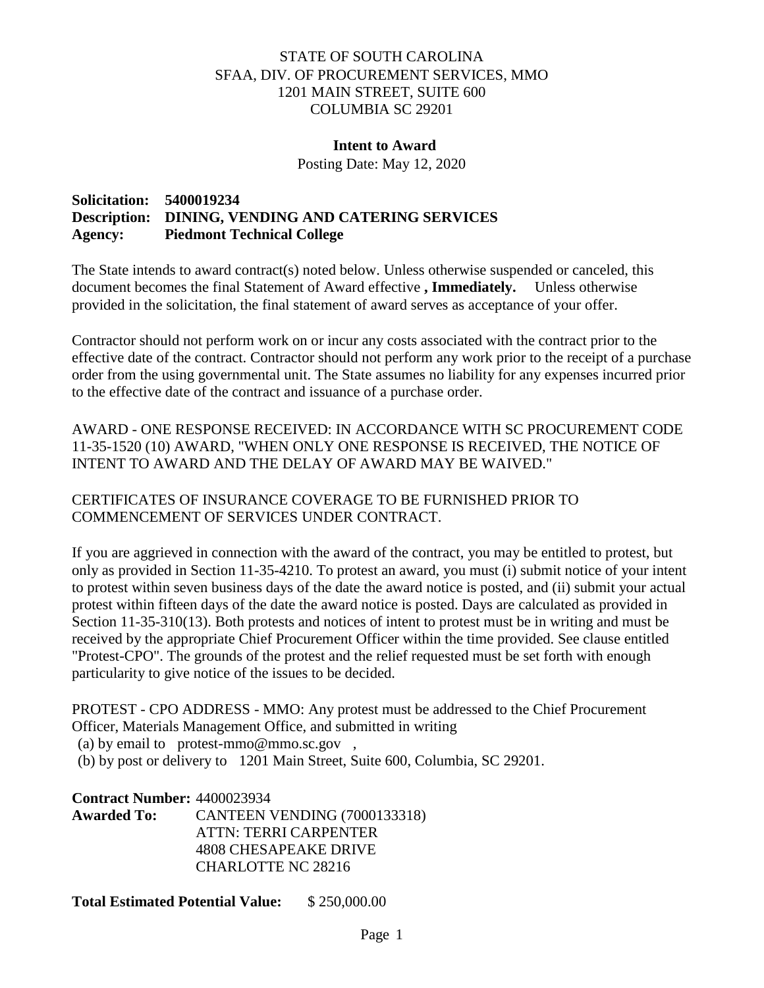## STATE OF SOUTH CAROLINA SFAA, DIV. OF PROCUREMENT SERVICES, MMO 1201 MAIN STREET, SUITE 600 COLUMBIA SC 29201

#### **Intent to Award**

Posting Date: May 12, 2020

## **Solicitation: 5400019234 Description: DINING, VENDING AND CATERING SERVICES Agency: Piedmont Technical College**

The State intends to award contract(s) noted below. Unless otherwise suspended or canceled, this document becomes the final Statement of Award effective **, Immediately.** Unless otherwise provided in the solicitation, the final statement of award serves as acceptance of your offer.

Contractor should not perform work on or incur any costs associated with the contract prior to the effective date of the contract. Contractor should not perform any work prior to the receipt of a purchase order from the using governmental unit. The State assumes no liability for any expenses incurred prior to the effective date of the contract and issuance of a purchase order.

AWARD - ONE RESPONSE RECEIVED: IN ACCORDANCE WITH SC PROCUREMENT CODE 11-35-1520 (10) AWARD, "WHEN ONLY ONE RESPONSE IS RECEIVED, THE NOTICE OF INTENT TO AWARD AND THE DELAY OF AWARD MAY BE WAIVED."

CERTIFICATES OF INSURANCE COVERAGE TO BE FURNISHED PRIOR TO COMMENCEMENT OF SERVICES UNDER CONTRACT.

If you are aggrieved in connection with the award of the contract, you may be entitled to protest, but only as provided in Section 11-35-4210. To protest an award, you must (i) submit notice of your intent to protest within seven business days of the date the award notice is posted, and (ii) submit your actual protest within fifteen days of the date the award notice is posted. Days are calculated as provided in Section 11-35-310(13). Both protests and notices of intent to protest must be in writing and must be received by the appropriate Chief Procurement Officer within the time provided. See clause entitled "Protest-CPO". The grounds of the protest and the relief requested must be set forth with enough particularity to give notice of the issues to be decided.

PROTEST - CPO ADDRESS - MMO: Any protest must be addressed to the Chief Procurement Officer, Materials Management Office, and submitted in writing

(a) by email to protest-mmo@mmo.sc.gov ,

(b) by post or delivery to 1201 Main Street, Suite 600, Columbia, SC 29201.

**Contract Number:** 4400023934

**Awarded To:** CANTEEN VENDING (7000133318) ATTN: TERRI CARPENTER 4808 CHESAPEAKE DRIVE CHARLOTTE NC 28216

**Total Estimated Potential Value:** \$ 250,000.00